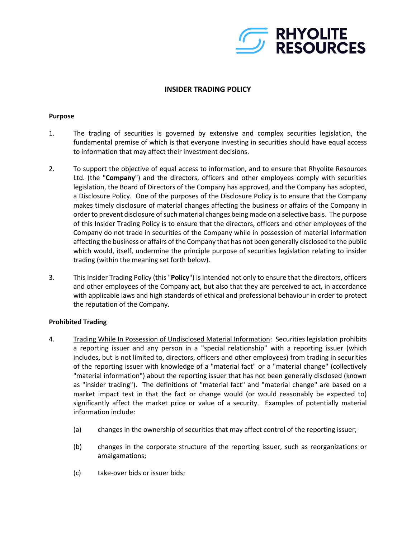

# **INSIDER TRADING POLICY**

#### **Purpose**

- 1. The trading of securities is governed by extensive and complex securities legislation, the fundamental premise of which is that everyone investing in securities should have equal access to information that may affect their investment decisions.
- 2. To support the objective of equal access to information, and to ensure that Rhyolite Resources Ltd. (the "**Company**") and the directors, officers and other employees comply with securities legislation, the Board of Directors of the Company has approved, and the Company has adopted, a Disclosure Policy. One of the purposes of the Disclosure Policy is to ensure that the Company makes timely disclosure of material changes affecting the business or affairs of the Company in order to prevent disclosure of such material changes being made on a selective basis. The purpose of this Insider Trading Policy is to ensure that the directors, officers and other employees of the Company do not trade in securities of the Company while in possession of material information affecting the business or affairs of the Company that has not been generally disclosed to the public which would, itself, undermine the principle purpose of securities legislation relating to insider trading (within the meaning set forth below).
- 3. This Insider Trading Policy (this "**Policy**") is intended not only to ensure that the directors, officers and other employees of the Company act, but also that they are perceived to act, in accordance with applicable laws and high standards of ethical and professional behaviour in order to protect the reputation of the Company.

## **Prohibited Trading**

- 4. Trading While In Possession of Undisclosed Material Information: Securities legislation prohibits a reporting issuer and any person in a "special relationship" with a reporting issuer (which includes, but is not limited to, directors, officers and other employees) from trading in securities of the reporting issuer with knowledge of a "material fact" or a "material change" (collectively "material information") about the reporting issuer that has not been generally disclosed (known as "insider trading"). The definitions of "material fact" and "material change" are based on a market impact test in that the fact or change would (or would reasonably be expected to) significantly affect the market price or value of a security. Examples of potentially material information include:
	- (a) changes in the ownership of securities that may affect control of the reporting issuer;
	- (b) changes in the corporate structure of the reporting issuer, such as reorganizations or amalgamations;
	- (c) take-over bids or issuer bids;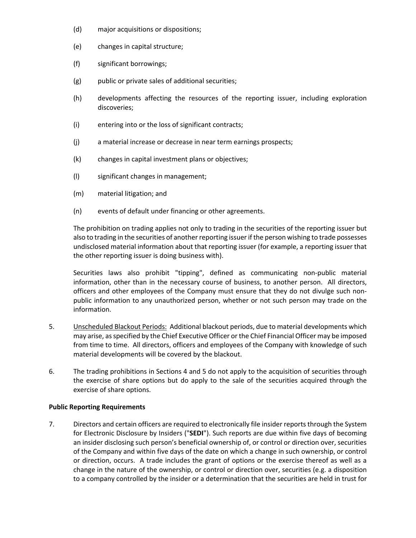- (d) major acquisitions or dispositions;
- (e) changes in capital structure;
- (f) significant borrowings;
- (g) public or private sales of additional securities;
- (h) developments affecting the resources of the reporting issuer, including exploration discoveries;
- (i) entering into or the loss of significant contracts;
- (j) a material increase or decrease in near term earnings prospects;
- (k) changes in capital investment plans or objectives;
- (l) significant changes in management;
- (m) material litigation; and
- (n) events of default under financing or other agreements.

The prohibition on trading applies not only to trading in the securities of the reporting issuer but also to trading in the securities of another reporting issuer if the person wishing to trade possesses undisclosed material information about that reporting issuer (for example, a reporting issuer that the other reporting issuer is doing business with).

Securities laws also prohibit "tipping", defined as communicating non-public material information, other than in the necessary course of business, to another person. All directors, officers and other employees of the Company must ensure that they do not divulge such nonpublic information to any unauthorized person, whether or not such person may trade on the information.

- 5. Unscheduled Blackout Periods: Additional blackout periods, due to material developments which may arise, as specified by the Chief Executive Officer or the Chief Financial Officer may be imposed from time to time. All directors, officers and employees of the Company with knowledge of such material developments will be covered by the blackout.
- 6. The trading prohibitions in Sections 4 and 5 do not apply to the acquisition of securities through the exercise of share options but do apply to the sale of the securities acquired through the exercise of share options.

## **Public Reporting Requirements**

7. Directors and certain officers are required to electronically file insider reports through the System for Electronic Disclosure by Insiders ("**SEDI**"). Such reports are due within five days of becoming an insider disclosing such person's beneficial ownership of, or control or direction over, securities of the Company and within five days of the date on which a change in such ownership, or control or direction, occurs. A trade includes the grant of options or the exercise thereof as well as a change in the nature of the ownership, or control or direction over, securities (e.g. a disposition to a company controlled by the insider or a determination that the securities are held in trust for